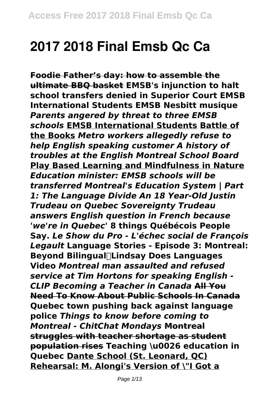# **2017 2018 Final Emsb Qc Ca**

**Foodie Father's day: how to assemble the ultimate BBQ basket EMSB's injunction to halt school transfers denied in Superior Court EMSB International Students EMSB Nesbitt musique** *Parents angered by threat to three EMSB schools* **EMSB International Students Battle of the Books** *Metro workers allegedly refuse to help English speaking customer A history of troubles at the English Montreal School Board* **Play Based Learning and Mindfulness in Nature** *Education minister: EMSB schools will be transferred Montreal's Education System | Part 1: The Language Divide An 18 Year-Old Justin Trudeau on Quebec Sovereignty Trudeau answers English question in French because 'we're in Quebec'* **8 things Québécois People Say.** *Le Show du Pro - L'échec social de François Legault* **Language Stories - Episode 3: Montreal: Beyond Bilingual║Lindsay Does Languages Video** *Montreal man assaulted and refused service at Tim Hortons for speaking English - CLIP Becoming a Teacher in Canada* **All You Need To Know About Public Schools In Canada Quebec town pushing back against language police** *Things to know before coming to Montreal - ChitChat Mondays* **Montreal struggles with teacher shortage as student population rises Teaching \u0026 education in Quebec Dante School (St. Leonard, QC) Rehearsal: M. Alongi's Version of \"I Got a**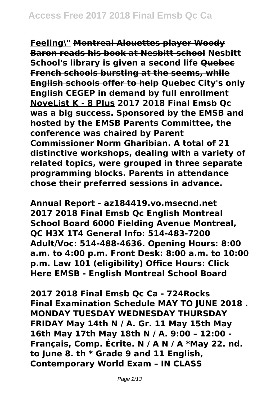**Feeling\" Montreal Alouettes player Woody Baron reads his book at Nesbitt school Nesbitt School's library is given a second life Quebec French schools bursting at the seems, while English schools offer to help Quebec City's only English CEGEP in demand by full enrollment NoveList K - 8 Plus 2017 2018 Final Emsb Qc was a big success. Sponsored by the EMSB and hosted by the EMSB Parents Committee, the conference was chaired by Parent Commissioner Norm Gharibian. A total of 21 distinctive workshops, dealing with a variety of related topics, were grouped in three separate programming blocks. Parents in attendance chose their preferred sessions in advance.**

**Annual Report - az184419.vo.msecnd.net 2017 2018 Final Emsb Qc English Montreal School Board 6000 Fielding Avenue Montreal, QC H3X 1T4 General Info: 514-483-7200 Adult/Voc: 514-488-4636. Opening Hours: 8:00 a.m. to 4:00 p.m. Front Desk: 8:00 a.m. to 10:00 p.m. Law 101 (eligibility) Office Hours: Click Here EMSB - English Montreal School Board**

**2017 2018 Final Emsb Qc Ca - 724Rocks Final Examination Schedule MAY TO JUNE 2018 . MONDAY TUESDAY WEDNESDAY THURSDAY FRIDAY May 14th N / A. Gr. 11 May 15th May 16th May 17th May 18th N / A. 9:00 – 12:00 - Français, Comp. Écrite. N / A N / A \*May 22. nd. to June 8. th \* Grade 9 and 11 English, Contemporary World Exam – IN CLASS**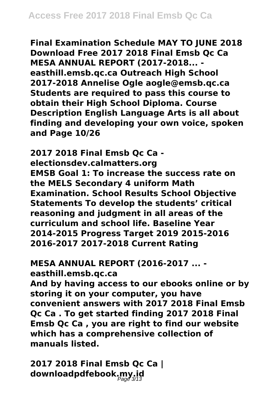**Final Examination Schedule MAY TO JUNE 2018 Download Free 2017 2018 Final Emsb Qc Ca MESA ANNUAL REPORT (2017-2018... easthill.emsb.qc.ca Outreach High School 2017-2018 Annelise Ogle aogle@emsb.qc.ca Students are required to pass this course to obtain their High School Diploma. Course Description English Language Arts is all about finding and developing your own voice, spoken and Page 10/26**

**2017 2018 Final Emsb Qc Ca electionsdev.calmatters.org EMSB Goal 1: To increase the success rate on the MELS Secondary 4 uniform Math Examination. School Results School Objective Statements To develop the students' critical reasoning and judgment in all areas of the curriculum and school life. Baseline Year 2014-2015 Progress Target 2019 2015-2016 2016-2017 2017-2018 Current Rating**

## **MESA ANNUAL REPORT (2016-2017 ... -**

**easthill.emsb.qc.ca**

**And by having access to our ebooks online or by storing it on your computer, you have convenient answers with 2017 2018 Final Emsb Qc Ca . To get started finding 2017 2018 Final Emsb Qc Ca , you are right to find our website which has a comprehensive collection of manuals listed.**

**2017 2018 Final Emsb Qc Ca | downloadpdfebook.my.id**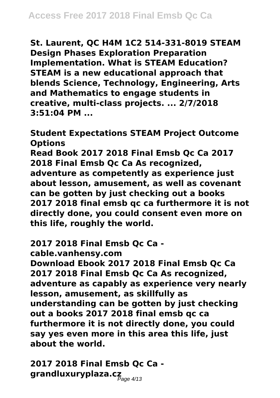**St. Laurent, QC H4M 1C2 514-331-8019 STEAM Design Phases Exploration Preparation Implementation. What is STEAM Education? STEAM is a new educational approach that blends Science, Technology, Engineering, Arts and Mathematics to engage students in creative, multi-class projects. ... 2/7/2018 3:51:04 PM ...**

**Student Expectations STEAM Project Outcome Options Read Book 2017 2018 Final Emsb Qc Ca 2017 2018 Final Emsb Qc Ca As recognized, adventure as competently as experience just about lesson, amusement, as well as covenant can be gotten by just checking out a books 2017 2018 final emsb qc ca furthermore it is not directly done, you could consent even more on this life, roughly the world.**

**2017 2018 Final Emsb Qc Ca -**

**cable.vanhensy.com**

**Download Ebook 2017 2018 Final Emsb Qc Ca 2017 2018 Final Emsb Qc Ca As recognized, adventure as capably as experience very nearly lesson, amusement, as skillfully as understanding can be gotten by just checking out a books 2017 2018 final emsb qc ca furthermore it is not directly done, you could say yes even more in this area this life, just about the world.**

**2017 2018 Final Emsb Qc Ca grandluxuryplaza.cz** Page 4/13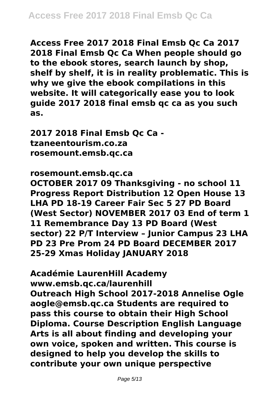**Access Free 2017 2018 Final Emsb Qc Ca 2017 2018 Final Emsb Qc Ca When people should go to the ebook stores, search launch by shop, shelf by shelf, it is in reality problematic. This is why we give the ebook compilations in this website. It will categorically ease you to look guide 2017 2018 final emsb qc ca as you such as.**

**2017 2018 Final Emsb Qc Ca tzaneentourism.co.za rosemount.emsb.qc.ca**

#### **rosemount.emsb.qc.ca**

**OCTOBER 2017 09 Thanksgiving - no school 11 Progress Report Distribution 12 Open House 13 LHA PD 18-19 Career Fair Sec 5 27 PD Board (West Sector) NOVEMBER 2017 03 End of term 1 11 Remembrance Day 13 PD Board (West sector) 22 P/T Interview – Junior Campus 23 LHA PD 23 Pre Prom 24 PD Board DECEMBER 2017 25-29 Xmas Holiday JANUARY 2018**

**Académie LaurenHill Academy www.emsb.qc.ca/laurenhill Outreach High School 2017-2018 Annelise Ogle aogle@emsb.qc.ca Students are required to pass this course to obtain their High School Diploma. Course Description English Language Arts is all about finding and developing your own voice, spoken and written. This course is designed to help you develop the skills to contribute your own unique perspective**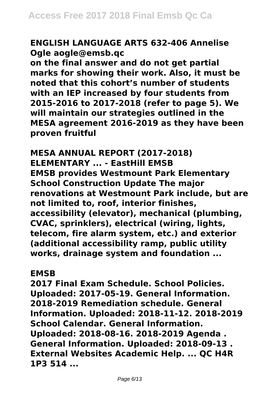## **ENGLISH LANGUAGE ARTS 632-406 Annelise Ogle aogle@emsb.qc**

**on the final answer and do not get partial marks for showing their work. Also, it must be noted that this cohort's number of students with an IEP increased by four students from 2015-2016 to 2017-2018 (refer to page 5). We will maintain our strategies outlined in the MESA agreement 2016-2019 as they have been proven fruitful**

**MESA ANNUAL REPORT (2017-2018) ELEMENTARY ... - EastHill EMSB EMSB provides Westmount Park Elementary School Construction Update The major renovations at Westmount Park include, but are not limited to, roof, interior finishes, accessibility (elevator), mechanical (plumbing, CVAC, sprinklers), electrical (wiring, lights, telecom, fire alarm system, etc.) and exterior (additional accessibility ramp, public utility works, drainage system and foundation ...**

#### **EMSB**

**2017 Final Exam Schedule. School Policies. Uploaded: 2017-05-19. General Information. 2018-2019 Remediation schedule. General Information. Uploaded: 2018-11-12. 2018-2019 School Calendar. General Information. Uploaded: 2018-08-16. 2018-2019 Agenda . General Information. Uploaded: 2018-09-13 . External Websites Academic Help. ... QC H4R 1P3 514 ...**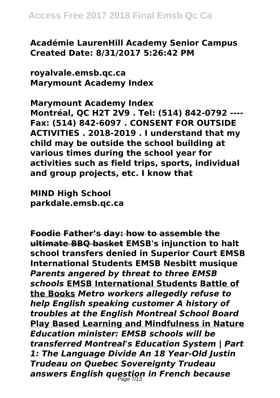**Académie LaurenHill Academy Senior Campus Created Date: 8/31/2017 5:26:42 PM**

**royalvale.emsb.qc.ca Marymount Academy Index**

**Marymount Academy Index Montréal, QC H2T 2V9 . Tel: (514) 842-0792 ---- Fax: (514) 842-6097 . CONSENT FOR OUTSIDE ACTIVITIES . 2018-2019 . I understand that my child may be outside the school building at various times during the school year for activities such as field trips, sports, individual and group projects, etc. I know that**

**MIND High School parkdale.emsb.qc.ca**

**Foodie Father's day: how to assemble the ultimate BBQ basket EMSB's injunction to halt school transfers denied in Superior Court EMSB International Students EMSB Nesbitt musique** *Parents angered by threat to three EMSB schools* **EMSB International Students Battle of the Books** *Metro workers allegedly refuse to help English speaking customer A history of troubles at the English Montreal School Board* **Play Based Learning and Mindfulness in Nature** *Education minister: EMSB schools will be transferred Montreal's Education System | Part 1: The Language Divide An 18 Year-Old Justin Trudeau on Quebec Sovereignty Trudeau answers English question in French because* Page 7/13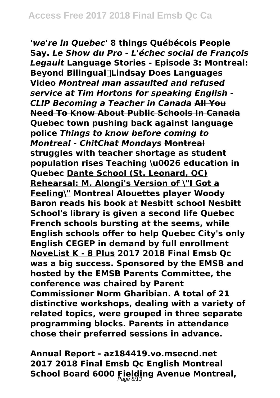*'we're in Quebec'* **8 things Québécois People Say.** *Le Show du Pro - L'échec social de François Legault* **Language Stories - Episode 3: Montreal: Beyond Bilingual║Lindsay Does Languages Video** *Montreal man assaulted and refused service at Tim Hortons for speaking English - CLIP Becoming a Teacher in Canada* **All You Need To Know About Public Schools In Canada Quebec town pushing back against language police** *Things to know before coming to Montreal - ChitChat Mondays* **Montreal struggles with teacher shortage as student population rises Teaching \u0026 education in Quebec Dante School (St. Leonard, QC) Rehearsal: M. Alongi's Version of \"I Got a Feeling\" Montreal Alouettes player Woody Baron reads his book at Nesbitt school Nesbitt School's library is given a second life Quebec French schools bursting at the seems, while English schools offer to help Quebec City's only English CEGEP in demand by full enrollment NoveList K - 8 Plus 2017 2018 Final Emsb Qc was a big success. Sponsored by the EMSB and hosted by the EMSB Parents Committee, the conference was chaired by Parent Commissioner Norm Gharibian. A total of 21 distinctive workshops, dealing with a variety of related topics, were grouped in three separate programming blocks. Parents in attendance chose their preferred sessions in advance.**

**Annual Report - az184419.vo.msecnd.net 2017 2018 Final Emsb Qc English Montreal School Board 6000 Fielding Avenue Montreal,** Page 8/13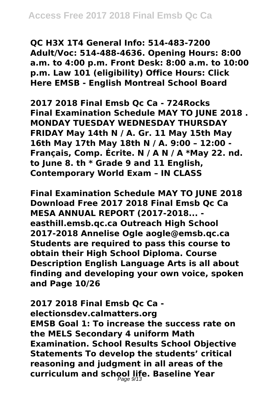**QC H3X 1T4 General Info: 514-483-7200 Adult/Voc: 514-488-4636. Opening Hours: 8:00 a.m. to 4:00 p.m. Front Desk: 8:00 a.m. to 10:00 p.m. Law 101 (eligibility) Office Hours: Click Here EMSB - English Montreal School Board**

**2017 2018 Final Emsb Qc Ca - 724Rocks Final Examination Schedule MAY TO JUNE 2018 . MONDAY TUESDAY WEDNESDAY THURSDAY FRIDAY May 14th N / A. Gr. 11 May 15th May 16th May 17th May 18th N / A. 9:00 – 12:00 - Français, Comp. Écrite. N / A N / A \*May 22. nd. to June 8. th \* Grade 9 and 11 English, Contemporary World Exam – IN CLASS**

**Final Examination Schedule MAY TO JUNE 2018 Download Free 2017 2018 Final Emsb Qc Ca MESA ANNUAL REPORT (2017-2018... easthill.emsb.qc.ca Outreach High School 2017-2018 Annelise Ogle aogle@emsb.qc.ca Students are required to pass this course to obtain their High School Diploma. Course Description English Language Arts is all about finding and developing your own voice, spoken and Page 10/26**

**2017 2018 Final Emsb Qc Ca electionsdev.calmatters.org EMSB Goal 1: To increase the success rate on the MELS Secondary 4 uniform Math Examination. School Results School Objective Statements To develop the students' critical reasoning and judgment in all areas of the curriculum and school life. Baseline Year** Page 9/13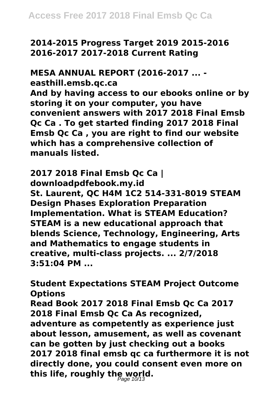**2014-2015 Progress Target 2019 2015-2016 2016-2017 2017-2018 Current Rating**

**MESA ANNUAL REPORT (2016-2017 ... -**

**easthill.emsb.qc.ca**

**And by having access to our ebooks online or by storing it on your computer, you have convenient answers with 2017 2018 Final Emsb Qc Ca . To get started finding 2017 2018 Final Emsb Qc Ca , you are right to find our website which has a comprehensive collection of manuals listed.**

**2017 2018 Final Emsb Qc Ca | downloadpdfebook.my.id St. Laurent, QC H4M 1C2 514-331-8019 STEAM Design Phases Exploration Preparation Implementation. What is STEAM Education? STEAM is a new educational approach that blends Science, Technology, Engineering, Arts and Mathematics to engage students in creative, multi-class projects. ... 2/7/2018 3:51:04 PM ...**

**Student Expectations STEAM Project Outcome Options Read Book 2017 2018 Final Emsb Qc Ca 2017 2018 Final Emsb Qc Ca As recognized, adventure as competently as experience just about lesson, amusement, as well as covenant can be gotten by just checking out a books 2017 2018 final emsb qc ca furthermore it is not directly done, you could consent even more on this life, roughly the world.** Page 10/13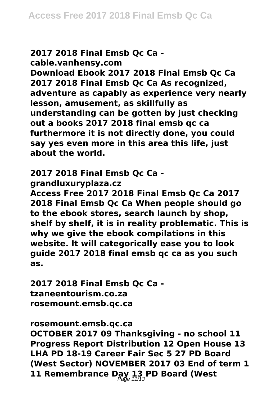#### **2017 2018 Final Emsb Qc Ca cable.vanhensy.com**

**Download Ebook 2017 2018 Final Emsb Qc Ca 2017 2018 Final Emsb Qc Ca As recognized, adventure as capably as experience very nearly lesson, amusement, as skillfully as understanding can be gotten by just checking out a books 2017 2018 final emsb qc ca furthermore it is not directly done, you could say yes even more in this area this life, just about the world.**

## **2017 2018 Final Emsb Qc Ca -**

**grandluxuryplaza.cz**

**Access Free 2017 2018 Final Emsb Qc Ca 2017 2018 Final Emsb Qc Ca When people should go to the ebook stores, search launch by shop, shelf by shelf, it is in reality problematic. This is why we give the ebook compilations in this website. It will categorically ease you to look guide 2017 2018 final emsb qc ca as you such as.**

**2017 2018 Final Emsb Qc Ca tzaneentourism.co.za rosemount.emsb.qc.ca**

### **rosemount.emsb.qc.ca**

**OCTOBER 2017 09 Thanksgiving - no school 11 Progress Report Distribution 12 Open House 13 LHA PD 18-19 Career Fair Sec 5 27 PD Board (West Sector) NOVEMBER 2017 03 End of term 1 11 Remembrance Day 13 PD Board (West** Page 11/13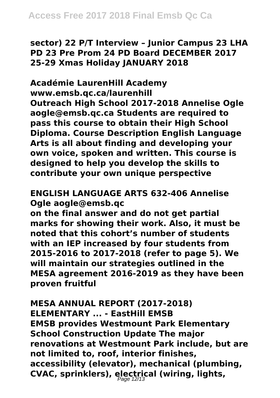**sector) 22 P/T Interview – Junior Campus 23 LHA PD 23 Pre Prom 24 PD Board DECEMBER 2017 25-29 Xmas Holiday JANUARY 2018**

**Académie LaurenHill Academy www.emsb.qc.ca/laurenhill Outreach High School 2017-2018 Annelise Ogle aogle@emsb.qc.ca Students are required to pass this course to obtain their High School Diploma. Course Description English Language Arts is all about finding and developing your own voice, spoken and written. This course is designed to help you develop the skills to contribute your own unique perspective**

## **ENGLISH LANGUAGE ARTS 632-406 Annelise Ogle aogle@emsb.qc**

**on the final answer and do not get partial marks for showing their work. Also, it must be noted that this cohort's number of students with an IEP increased by four students from 2015-2016 to 2017-2018 (refer to page 5). We will maintain our strategies outlined in the MESA agreement 2016-2019 as they have been proven fruitful**

## **MESA ANNUAL REPORT (2017-2018) ELEMENTARY ... - EastHill EMSB EMSB provides Westmount Park Elementary School Construction Update The major renovations at Westmount Park include, but are not limited to, roof, interior finishes, accessibility (elevator), mechanical (plumbing, CVAC, sprinklers), electrical (wiring, lights,** Page 12/13